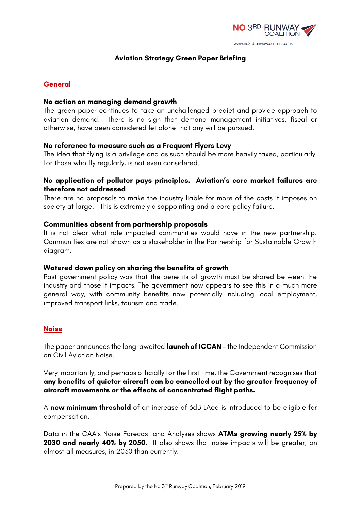

# **Aviation Strategy Green Paper Briefing**

### **General**

#### **No action on managing demand growth**

The green paper continues to take an unchallenged predict and provide approach to aviation demand. There is no sign that demand management initiatives, fiscal or otherwise, have been considered let alone that any will be pursued.

#### **No reference to measure such as a Frequent Flyers Levy**

The idea that flying is a privilege and as such should be more heavily taxed, particularly for those who fly regularly, is not even considered.

### **No application of polluter pays principles. Aviation's core market failures are therefore not addressed**

There are no proposals to make the industry liable for more of the costs it imposes on society at large. This is extremely disappointing and a core policy failure.

#### **Communities absent from partnership proposals**

It is not clear what role impacted communities would have in the new partnership. Communities are not shown as a stakeholder in the Partnership for Sustainable Growth diagram.

#### **Watered down policy on sharing the benefits of growth**

Past government policy was that the benefits of growth must be shared between the industry and those it impacts. The government now appears to see this in a much more general way, with community benefits now potentially including local employment, improved transport links, tourism and trade.

### **Noise**

The paper announces the long-awaited **launch of ICCAN** – the Independent Commission on Civil Aviation Noise.

Very importantly, and perhaps officially for the first time, the Government recognises that **any benefits of quieter aircraft can be cancelled out by the greater frequency of aircraft movements or the effects of concentrated flight paths.** 

A **new minimum threshold** of an increase of 3dB LAeq is introduced to be eligible for compensation.

Data in the CAA's Noise Forecast and Analyses shows **ATMs growing nearly 25% by 2030 and nearly 40% by 2050**. It also shows that noise impacts will be greater, on almost all measures, in 2030 than currently.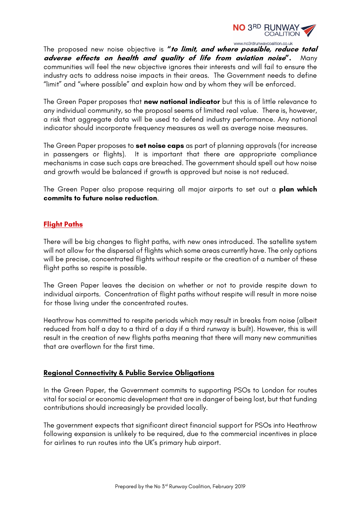

The proposed new noise objective is **"to limit, and where possible, reduce total adverse effects on health and quality of life from aviation noise".** Many communities will feel the new objective ignores their interests and will fail to ensure the industry acts to address noise impacts in their areas. The Government needs to define "limit" and "where possible" and explain how and by whom they will be enforced.

The Green Paper proposes that **new national indicator** but this is of little relevance to any individual community, so the proposal seems of limited real value. There is, however, a risk that aggregate data will be used to defend industry performance. Any national indicator should incorporate frequency measures as well as average noise measures.

The Green Paper proposes to **set noise caps** as part of planning approvals (for increase in passengers or flights). It is important that there are appropriate compliance mechanisms in case such caps are breached. The government should spell out how noise and growth would be balanced if growth is approved but noise is not reduced.

The Green Paper also propose requiring all major airports to set out a **plan which commits to future noise reduction**.

# **Flight Paths**

There will be big changes to flight paths, with new ones introduced. The satellite system will not allow for the dispersal of flights which some areas currently have. The only options will be precise, concentrated flights without respite or the creation of a number of these flight paths so respite is possible.

The Green Paper leaves the decision on whether or not to provide respite down to individual airports. Concentration of flight paths without respite will result in more noise for those living under the concentrated routes.

Heathrow has committed to respite periods which may result in breaks from noise (albeit reduced from half a day to a third of a day if a third runway is built). However, this is will result in the creation of new flights paths meaning that there will many new communities that are overflown for the first time.

### **Regional Connectivity & Public Service Obligations**

In the Green Paper, the Government commits to supporting PSOs to London for routes vital for social or economic development that are in danger of being lost, but that funding contributions should increasingly be provided locally.

The government expects that significant direct financial support for PSOs into Heathrow following expansion is unlikely to be required, due to the commercial incentives in place for airlines to run routes into the UK's primary hub airport.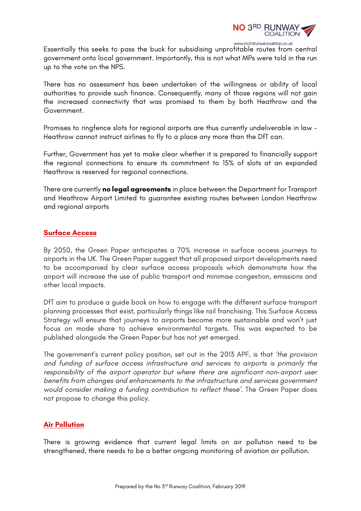

Essentially this seeks to pass the buck for subsidising unprofitable routes from central government onto local government. Importantly, this is not what MPs were told in the run up to the vote on the NPS.

There has no assessment has been undertaken of the willingness or ability of local authorities to provide such finance. Consequently, many of those regions will not gain the increased connectivity that was promised to them by both Heathrow and the Government.

Promises to ringfence slots for regional airports are thus currently undeliverable in law - Heathrow cannot instruct airlines to fly to a place any more than the DfT can.

Further, Government has yet to make clear whether it is prepared to financially support the regional connections to ensure its commitment to 15% of slots at an expanded Heathrow is reserved for regional connections.

There are currently **no legal agreements** in place between the Department for Transport and Heathrow Airport Limited to guarantee existing routes between London Heathrow and regional airports

# **Surface Access**

By 2050, the Green Paper anticipates a 70% increase in surface access journeys to airports in the UK. The Green Paper suggest that all proposed airport developments need to be accompanied by clear surface access proposals which demonstrate how the airport will increase the use of public transport and minimise congestion, emissions and other local impacts.

DfT aim to produce a guide book on how to engage with the different surface transport planning processes that exist, particularly things like rail franchising. This Surface Access Strategy will ensure that journeys to airports become more sustainable and won't just focus on mode share to achieve environmental targets. This was expected to be published alongside the Green Paper but has not yet emerged.

The government's current policy position, set out in the 2013 APF, is that *'the provision and funding of surface access infrastructure and services to airports is primarily the responsibility of the airport operator but where there are significant non-airport user benefits from changes and enhancements to the infrastructure and services government would consider making a funding contribution to reflect these'*. The Green Paper does not propose to change this policy.

### **Air Pollution**

There is growing evidence that current legal limits on air pollution need to be strengthened, there needs to be a better ongoing monitoring of aviation air pollution.